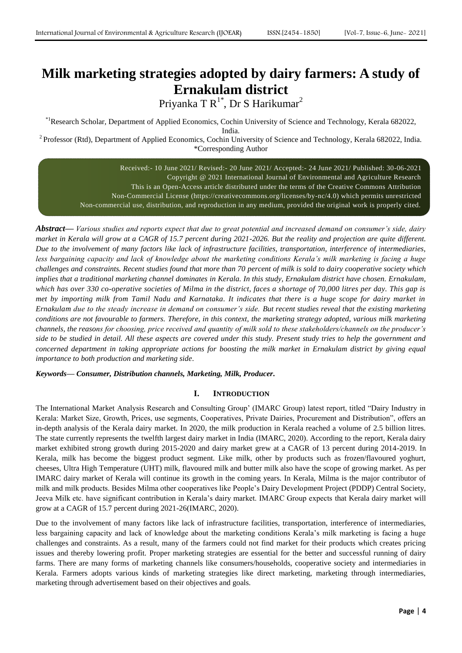# **Milk marketing strategies adopted by dairy farmers: A study of Ernakulam district**

Priyanka T $R^{1*}$ , Dr S Harikumar $^{2}$ 

\*1Research Scholar, Department of Applied Economics, Cochin University of Science and Technology, Kerala 682022,

India.

<sup>2</sup> Professor (Rtd), Department of Applied Economics, Cochin University of Science and Technology, Kerala 682022, India. \*Corresponding Author

> Received:- 10 June 2021/ Revised:- 20 June 2021/ Accepted:- 24 June 2021/ Published: 30-06-2021 Copyright @ 2021 International Journal of Environmental and Agriculture Research This is an Open-Access article distributed under the terms of the Creative Commons Attribution Non-Commercial License (https://creativecommons.org/licenses/by-nc/4.0) which permits unrestricted Non-commercial use, distribution, and reproduction in any medium, provided the original work is properly cited.

*Abstract***—** *Various studies and reports expect that due to great potential and increased demand on consumer's side, dairy market in Kerala will grow at a CAGR of 15.7 percent during 2021-2026. But the reality and projection are quite different. Due to the involvement of many factors like lack of infrastructure facilities, transportation, interference of intermediaries,*  less bargaining capacity and lack of knowledge about the marketing conditions Kerala's milk marketing is facing a huge *challenges and constraints. Recent studies found that more than 70 percent of milk is sold to dairy cooperative society which implies that a traditional marketing channel dominates in Kerala. In this study, Ernakulam district have chosen. Ernakulam, which has over 330 co-operative societies of Milma in the district, faces a shortage of 70,000 litres per day. This gap is met by importing milk from Tamil Nadu and Karnataka. It indicates that there is a huge scope for dairy market in Ernakulam due to the steady increase in demand on consumer's side. But recent studies reveal that the existing marketing conditions are not favourable to farmers. Therefore, in this context, the marketing strategy adopted, various milk marketing channels, the reasons for choosing, price received and quantity of milk sold to these stakeholders/channels on the producer's side to be studied in detail. All these aspects are covered under this study. Present study tries to help the government and concerned department in taking appropriate actions for boosting the milk market in Ernakulam district by giving equal importance to both production and marketing side.*

*Keywords— Consumer, Distribution channels, Marketing, Milk, Producer.*

# **I. INTRODUCTION**

The International Market Analysis Research and Consulting Group" (IMARC Group) latest report, titled "Dairy Industry in Kerala: Market Size, Growth, Prices, use segments, Cooperatives, Private Dairies, Procurement and Distribution", offers an in-depth analysis of the Kerala dairy market. In 2020, the milk production in Kerala reached a volume of 2.5 billion litres. The state currently represents the twelfth largest dairy market in India (IMARC, 2020). According to the report, Kerala dairy market exhibited strong growth during 2015-2020 and dairy market grew at a CAGR of 13 percent during 2014-2019. In Kerala, milk has become the biggest product segment. Like milk, other by products such as frozen/flavoured yoghurt, cheeses, Ultra High Temperature (UHT) milk, flavoured milk and butter milk also have the scope of growing market. As per IMARC dairy market of Kerala will continue its growth in the coming years. In Kerala, Milma is the major contributor of milk and milk products. Besides Milma other cooperatives like People"s Dairy Development Project (PDDP) Central Society, Jeeva Milk etc. have significant contribution in Kerala"s dairy market. IMARC Group expects that Kerala dairy market will grow at a CAGR of 15.7 percent during 2021-26(IMARC, 2020).

Due to the involvement of many factors like lack of infrastructure facilities, transportation, interference of intermediaries, less bargaining capacity and lack of knowledge about the marketing conditions Kerala"s milk marketing is facing a huge challenges and constraints. As a result, many of the farmers could not find market for their products which creates pricing issues and thereby lowering profit. Proper marketing strategies are essential for the better and successful running of dairy farms. There are many forms of marketing channels like consumers/households, cooperative society and intermediaries in Kerala. Farmers adopts various kinds of marketing strategies like direct marketing, marketing through intermediaries, marketing through advertisement based on their objectives and goals.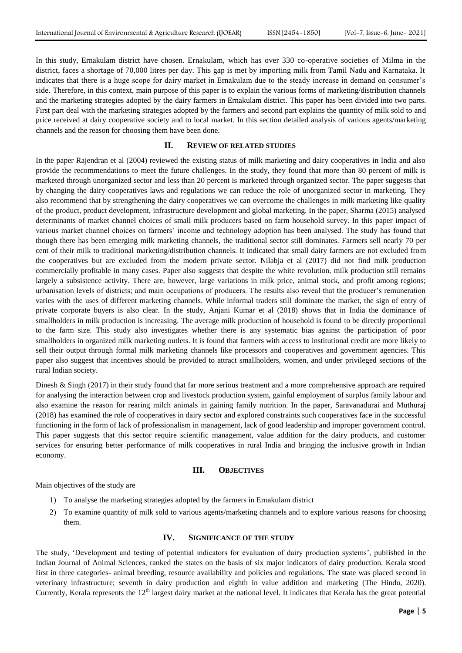In this study, Ernakulam district have chosen. Ernakulam, which has over 330 co-operative societies of Milma in the district, faces a shortage of 70,000 litres per day. This gap is met by importing milk from Tamil Nadu and Karnataka. It indicates that there is a huge scope for dairy market in Ernakulam due to the steady increase in demand on consumer"s side. Therefore, in this context, main purpose of this paper is to explain the various forms of marketing/distribution channels and the marketing strategies adopted by the dairy farmers in Ernakulam district. This paper has been divided into two parts. First part deal with the marketing strategies adopted by the farmers and second part explains the quantity of milk sold to and price received at dairy cooperative society and to local market. In this section detailed analysis of various agents/marketing channels and the reason for choosing them have been done.

## **II. REVIEW OF RELATED STUDIES**

In the paper Rajendran et al (2004) reviewed the existing status of milk marketing and dairy cooperatives in India and also provide the recommendations to meet the future challenges. In the study, they found that more than 80 percent of milk is marketed through unorganized sector and less than 20 percent is marketed through organized sector. The paper suggests that by changing the dairy cooperatives laws and regulations we can reduce the role of unorganized sector in marketing. They also recommend that by strengthening the dairy cooperatives we can overcome the challenges in milk marketing like quality of the product, product development, infrastructure development and global marketing. In the paper, Sharma (2015) analysed determinants of market channel choices of small milk producers based on farm household survey. In this paper impact of various market channel choices on farmers" income and technology adoption has been analysed. The study has found that though there has been emerging milk marketing channels, the traditional sector still dominates. Farmers sell nearly 70 per cent of their milk to traditional marketing/distribution channels. It indicated that small dairy farmers are not excluded from the cooperatives but are excluded from the modern private sector. Nilabja et al (2017) did not find milk production commercially profitable in many cases. Paper also suggests that despite the white revolution, milk production still remains largely a subsistence activity. There are, however, large variations in milk price, animal stock, and profit among regions; urbanisation levels of districts; and main occupations of producers. The results also reveal that the producer"s remuneration varies with the uses of different marketing channels. While informal traders still dominate the market, the sign of entry of private corporate buyers is also clear. In the study, Anjani Kumar et al (2018) shows that in India the dominance of smallholders in milk production is increasing. The average milk production of household is found to be directly proportional to the farm size. This study also investigates whether there is any systematic bias against the participation of poor smallholders in organized milk marketing outlets. It is found that farmers with access to institutional credit are more likely to sell their output through formal milk marketing channels like processors and cooperatives and government agencies. This paper also suggest that incentives should be provided to attract smallholders, women, and under privileged sections of the rural Indian society.

Dinesh & Singh (2017) in their study found that far more serious treatment and a more comprehensive approach are required for analysing the interaction between crop and livestock production system, gainful employment of surplus family labour and also examine the reason for rearing milch animals in gaining family nutrition. In the paper, Saravanadurai and Muthuraj (2018) has examined the role of cooperatives in dairy sector and explored constraints such cooperatives face in the successful functioning in the form of lack of professionalism in management, lack of good leadership and improper government control. This paper suggests that this sector require scientific management, value addition for the dairy products, and customer services for ensuring better performance of milk cooperatives in rural India and bringing the inclusive growth in Indian economy.

## **III. OBJECTIVES**

Main objectives of the study are

- 1) To analyse the marketing strategies adopted by the farmers in Ernakulam district
- 2) To examine quantity of milk sold to various agents/marketing channels and to explore various reasons for choosing them.

## **IV. SIGNIFICANCE OF THE STUDY**

The study, "Development and testing of potential indicators for evaluation of dairy production systems", published in the Indian Journal of Animal Sciences, ranked the states on the basis of six major indicators of dairy production. Kerala stood first in three categories- animal breeding, resource availability and policies and regulations. The state was placed second in veterinary infrastructure; seventh in dairy production and eighth in value addition and marketing (The Hindu, 2020). Currently, Kerala represents the 12<sup>th</sup> largest dairy market at the national level. It indicates that Kerala has the great potential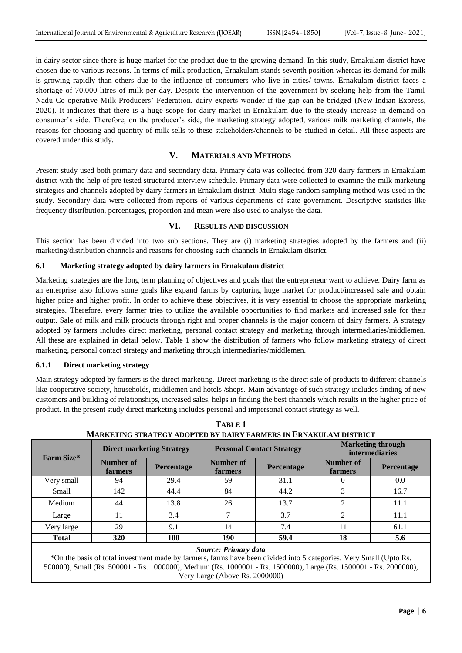in dairy sector since there is huge market for the product due to the growing demand. In this study, Ernakulam district have chosen due to various reasons. In terms of milk production, Ernakulam stands seventh position whereas its demand for milk is growing rapidly than others due to the influence of consumers who live in cities/ towns. Ernakulam district faces a shortage of 70,000 litres of milk per day. Despite the intervention of the government by seeking help from the Tamil Nadu Co-operative Milk Producers" Federation, dairy experts wonder if the gap can be bridged (New Indian Express, 2020). It indicates that there is a huge scope for dairy market in Ernakulam due to the steady increase in demand on consumer"s side. Therefore, on the producer"s side, the marketing strategy adopted, various milk marketing channels, the reasons for choosing and quantity of milk sells to these stakeholders/channels to be studied in detail. All these aspects are covered under this study.

## **V. MATERIALS AND METHODS**

Present study used both primary data and secondary data. Primary data was collected from 320 dairy farmers in Ernakulam district with the help of pre tested structured interview schedule. Primary data were collected to examine the milk marketing strategies and channels adopted by dairy farmers in Ernakulam district. Multi stage random sampling method was used in the study. Secondary data were collected from reports of various departments of state government. Descriptive statistics like frequency distribution, percentages, proportion and mean were also used to analyse the data.

## **VI. RESULTS AND DISCUSSION**

This section has been divided into two sub sections. They are (i) marketing strategies adopted by the farmers and (ii) marketing/distribution channels and reasons for choosing such channels in Ernakulam district.

## **6.1 Marketing strategy adopted by dairy farmers in Ernakulam district**

Marketing strategies are the long term planning of objectives and goals that the entrepreneur want to achieve. Dairy farm as an enterprise also follows some goals like expand farms by capturing huge market for product/increased sale and obtain higher price and higher profit. In order to achieve these objectives, it is very essential to choose the appropriate marketing strategies. Therefore, every farmer tries to utilize the available opportunities to find markets and increased sale for their output. Sale of milk and milk products through right and proper channels is the major concern of dairy farmers. A strategy adopted by farmers includes direct marketing, personal contact strategy and marketing through intermediaries/middlemen. All these are explained in detail below. Table 1 show the distribution of farmers who follow marketing strategy of direct marketing, personal contact strategy and marketing through intermediaries/middlemen.

#### **6.1.1 Direct marketing strategy**

Main strategy adopted by farmers is the direct marketing. Direct marketing is the direct sale of products to different channels like cooperative society, households, middlemen and hotels /shops. Main advantage of such strategy includes finding of new customers and building of relationships, increased sales, helps in finding the best channels which results in the higher price of product. In the present study direct marketing includes personal and impersonal contact strategy as well.

| Farm Size*           | <b>Direct marketing Strategy</b>          |      |                      | <b>Personal Contact Strategy</b> | <b>Marketing through</b><br><b>intermediaries</b> |                   |  |  |
|----------------------|-------------------------------------------|------|----------------------|----------------------------------|---------------------------------------------------|-------------------|--|--|
|                      | Number of<br><b>Percentage</b><br>farmers |      | Number of<br>farmers | <b>Percentage</b>                | Number of<br><b>farmers</b>                       | <b>Percentage</b> |  |  |
| Very small           | 94                                        | 29.4 | 59                   | 31.1                             | $\theta$                                          | 0.0               |  |  |
| Small                | 142                                       | 44.4 | 84                   | 44.2                             | 3                                                 | 16.7              |  |  |
| Medium               | 44                                        | 13.8 | 26                   | 13.7                             | 2                                                 | 11.1              |  |  |
| Large                | 11                                        | 3.4  | 7                    | 3.7                              | 2                                                 | 11.1              |  |  |
| Very large           | 29                                        | 9.1  | 14                   | 7.4                              | 11                                                | 61.1              |  |  |
| <b>Total</b>         | 320                                       | 100  | 190<br>59.4          |                                  | 18                                                | 5.6               |  |  |
| Source: Primary data |                                           |      |                      |                                  |                                                   |                   |  |  |

**TABLE 1 MARKETING STRATEGY ADOPTED BY DAIRY FARMERS IN ERNAKULAM DISTRICT**

\*On the basis of total investment made by farmers, farms have been divided into 5 categories. Very Small (Upto Rs. 500000), Small (Rs. 500001 - Rs. 1000000), Medium (Rs. 1000001 - Rs. 1500000), Large (Rs. 1500001 - Rs. 2000000), Very Large (Above Rs. 2000000)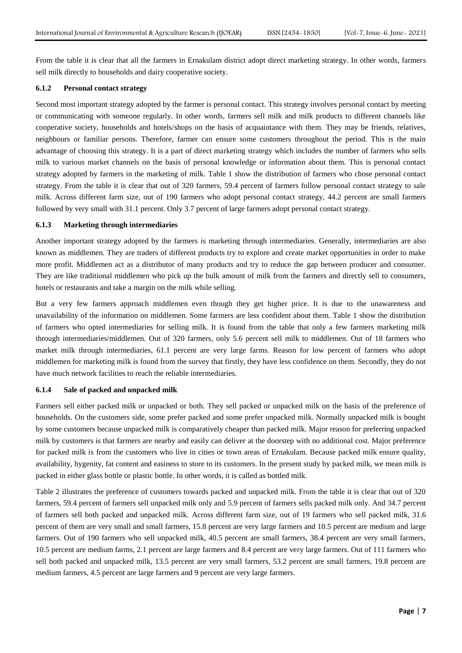From the table it is clear that all the farmers in Ernakulam district adopt direct marketing strategy. In other words, farmers sell milk directly to households and dairy cooperative society.

#### **6.1.2 Personal contact strategy**

Second most important strategy adopted by the farmer is personal contact. This strategy involves personal contact by meeting or communicating with someone regularly. In other words, farmers sell milk and milk products to different channels like cooperative society, households and hotels/shops on the basis of acquaintance with them. They may be friends, relatives, neighbours or familiar persons. Therefore, farmer can ensure some customers throughout the period. This is the main advantage of choosing this strategy. It is a part of direct marketing strategy which includes the number of farmers who sells milk to various market channels on the basis of personal knowledge or information about them. This is personal contact strategy adopted by farmers in the marketing of milk. Table 1 show the distribution of farmers who chose personal contact strategy. From the table it is clear that out of 320 farmers, 59.4 percent of farmers follow personal contact strategy to sale milk. Across different farm size, out of 190 farmers who adopt personal contact strategy, 44.2 percent are small farmers followed by very small with 31.1 percent. Only 3.7 percent of large farmers adopt personal contact strategy.

#### **6.1.3 Marketing through intermediaries**

Another important strategy adopted by the farmers is marketing through intermediaries. Generally, intermediaries are also known as middlemen. They are traders of different products try to explore and create market opportunities in order to make more profit. Middlemen act as a distributor of many products and try to reduce the gap between producer and consumer. They are like traditional middlemen who pick up the bulk amount of milk from the farmers and directly sell to consumers, hotels or restaurants and take a margin on the milk while selling.

But a very few farmers approach middlemen even though they get higher price. It is due to the unawareness and unavailability of the information on middlemen. Some farmers are less confident about them. Table 1 show the distribution of farmers who opted intermediaries for selling milk. It is found from the table that only a few farmers marketing milk through intermediaries/middlemen. Out of 320 farmers, only 5.6 percent sell milk to middlemen. Out of 18 farmers who market milk through intermediaries, 61.1 percent are very large farms. Reason for low percent of farmers who adopt middlemen for marketing milk is found from the survey that firstly, they have less confidence on them. Secondly, they do not have much network facilities to reach the reliable intermediaries.

# **6.1.4 Sale of packed and unpacked milk**

Farmers sell either packed milk or unpacked or both. They sell packed or unpacked milk on the basis of the preference of households. On the customers side, some prefer packed and some prefer unpacked milk. Normally unpacked milk is bought by some customers because unpacked milk is comparatively cheaper than packed milk. Major reason for preferring unpacked milk by customers is that farmers are nearby and easily can deliver at the doorstep with no additional cost. Major preference for packed milk is from the customers who live in cities or town areas of Ernakulam. Because packed milk ensure quality, availability, hygenity, fat content and easiness to store to its customers. In the present study by packed milk, we mean milk is packed in either glass bottle or plastic bottle. In other words, it is called as bottled milk.

Table 2 illustrates the preference of customers towards packed and unpacked milk. From the table it is clear that out of 320 farmers, 59.4 percent of farmers sell unpacked milk only and 5.9 percent of farmers sells packed milk only. And 34.7 percent of farmers sell both packed and unpacked milk. Across different farm size, out of 19 farmers who sell packed milk, 31.6 percent of them are very small and small farmers, 15.8 percent are very large farmers and 10.5 percent are medium and large farmers. Out of 190 farmers who sell unpacked milk, 40.5 percent are small farmers, 38.4 percent are very small farmers, 10.5 percent are medium farms, 2.1 percent are large farmers and 8.4 percent are very large farmers. Out of 111 farmers who sell both packed and unpacked milk, 13.5 percent are very small farmers, 53.2 percent are small farmers, 19.8 percent are medium farmers, 4.5 percent are large farmers and 9 percent are very large farmers.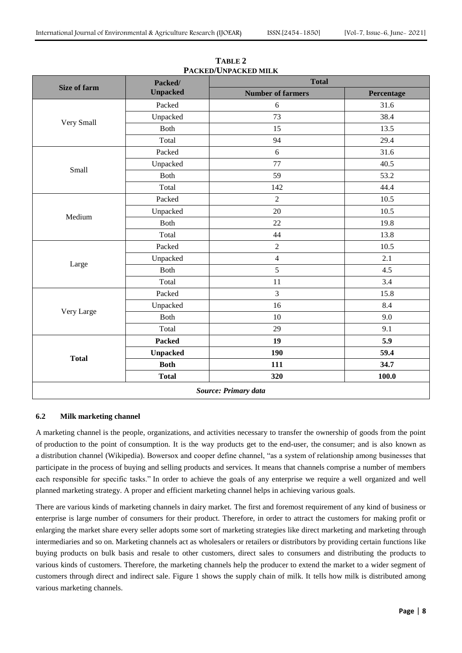| Packed/         | <b>Total</b>             |            |  |  |
|-----------------|--------------------------|------------|--|--|
| <b>Unpacked</b> | <b>Number of farmers</b> | Percentage |  |  |
| Packed          | 6                        | 31.6       |  |  |
| Unpacked        | 73                       | 38.4       |  |  |
| Both            | 15                       | 13.5       |  |  |
| Total           | 94                       | 29.4       |  |  |
| Packed          | 6                        | 31.6       |  |  |
| Unpacked        | 77                       | 40.5       |  |  |
| Both            | 59                       | 53.2       |  |  |
| Total           | 142                      | 44.4       |  |  |
| Packed          | $\overline{2}$           | 10.5       |  |  |
| Unpacked        | 20                       | 10.5       |  |  |
| Both            | 22                       | 19.8       |  |  |
| Total           | 44                       | 13.8       |  |  |
| Packed          | $\boldsymbol{2}$         | $10.5\,$   |  |  |
| Unpacked        | $\overline{4}$           | 2.1        |  |  |
| Both            | 5                        | 4.5        |  |  |
| Total           | 11                       | 3.4        |  |  |
| Packed          | $\overline{3}$           | 15.8       |  |  |
| Unpacked        | 16                       | 8.4        |  |  |
| Both            | 10                       | 9.0        |  |  |
| Total           | 29                       | 9.1        |  |  |
| Packed          | 19                       | 5.9        |  |  |
| <b>Unpacked</b> | 190                      | 59.4       |  |  |
| <b>Both</b>     | 111                      | 34.7       |  |  |
| <b>Total</b>    | 320                      | 100.0      |  |  |
|                 |                          |            |  |  |

**TABLE 2 PACKED/UNPACKED MILK**

## **6.2 Milk marketing channel**

A marketing channel is the people, organizations, and activities necessary to transfer the ownership of goods from the point of production to the point of consumption. It is the way products get to the end-user, the consumer; and is also known as a distribution channel (Wikipedia). Bowersox and cooper define channel, "as a system of relationship among businesses that participate in the process of buying and selling products and services. It means that channels comprise a number of members each responsible for specific tasks." In order to achieve the goals of any enterprise we require a well organized and well planned marketing strategy. A proper and efficient marketing channel helps in achieving various goals.

There are various kinds of marketing channels in dairy market. The first and foremost requirement of any kind of business or enterprise is large number of consumers for their product. Therefore, in order to attract the customers for making profit or enlarging the market share every seller adopts some sort of marketing strategies like direct marketing and marketing through intermediaries and so on. Marketing channels act as wholesalers or retailers or distributors by providing certain functions like buying products on bulk basis and resale to other customers, direct sales to consumers and distributing the products to various kinds of customers. Therefore, the marketing channels help the producer to extend the market to a wider segment of customers through direct and indirect sale. Figure 1 shows the supply chain of milk. It tells how milk is distributed among various marketing channels.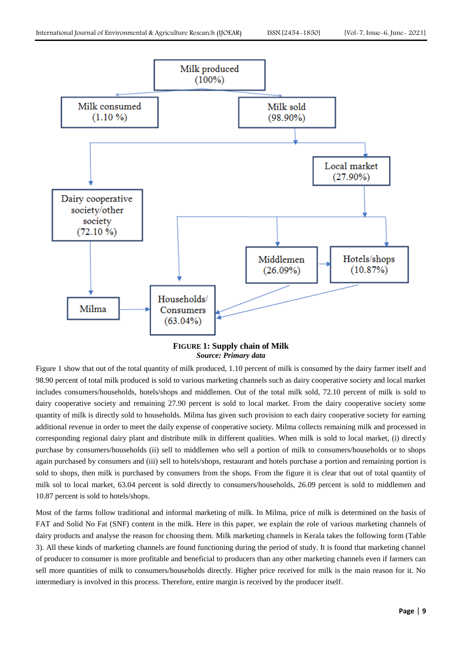

**FIGURE 1: Supply chain of Milk** *Source: Primary data*

Figure 1 show that out of the total quantity of milk produced, 1.10 percent of milk is consumed by the dairy farmer itself and 98.90 percent of total milk produced is sold to various marketing channels such as dairy cooperative society and local market includes consumers/households, hotels/shops and middlemen. Out of the total milk sold, 72.10 percent of milk is sold to dairy cooperative society and remaining 27.90 percent is sold to local market. From the dairy cooperative society some quantity of milk is directly sold to households. Milma has given such provision to each dairy cooperative society for earning additional revenue in order to meet the daily expense of cooperative society. Milma collects remaining milk and processed in corresponding regional dairy plant and distribute milk in different qualities. When milk is sold to local market, (i) directly purchase by consumers/households (ii) sell to middlemen who sell a portion of milk to consumers/households or to shops again purchased by consumers and (iii) sell to hotels/shops, restaurant and hotels purchase a portion and remaining portion is sold to shops, then milk is purchased by consumers from the shops. From the figure it is clear that out of total quantity of milk sol to local market, 63.04 percent is sold directly to consumers/households, 26.09 percent is sold to middlemen and 10.87 percent is sold to hotels/shops.

Most of the farms follow traditional and informal marketing of milk. In Milma, price of milk is determined on the basis of FAT and Solid No Fat (SNF) content in the milk. Here in this paper, we explain the role of various marketing channels of dairy products and analyse the reason for choosing them. Milk marketing channels in Kerala takes the following form (Table 3). All these kinds of marketing channels are found functioning during the period of study. It is found that marketing channel of producer to consumer is more profitable and beneficial to producers than any other marketing channels even if farmers can sell more quantities of milk to consumers/households directly. Higher price received for milk is the main reason for it. No intermediary is involved in this process. Therefore, entire margin is received by the producer itself.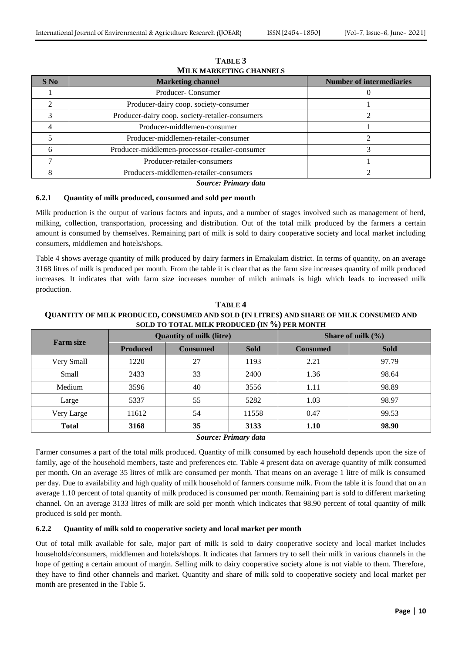| $S$ No | <b>Marketing channel</b>                        | <b>Number of intermediaries</b> |
|--------|-------------------------------------------------|---------------------------------|
|        | Producer-Consumer                               |                                 |
|        | Producer-dairy coop. society-consumer           |                                 |
|        | Producer-dairy coop. society-retailer-consumers |                                 |
|        | Producer-middlemen-consumer                     |                                 |
|        | Producer-middlemen-retailer-consumer            |                                 |
|        | Producer-middlemen-processor-retailer-consumer  |                                 |
|        | Producer-retailer-consumers                     |                                 |
|        | Producers-middlemen-retailer-consumers          |                                 |

**TABLE 3 MILK MARKETING CHANNELS**

*Source: Primary data*

## **6.2.1 Quantity of milk produced, consumed and sold per month**

Milk production is the output of various factors and inputs, and a number of stages involved such as management of herd, milking, collection, transportation, processing and distribution. Out of the total milk produced by the farmers a certain amount is consumed by themselves. Remaining part of milk is sold to dairy cooperative society and local market including consumers, middlemen and hotels/shops.

Table 4 shows average quantity of milk produced by dairy farmers in Ernakulam district. In terms of quantity, on an average 3168 litres of milk is produced per month. From the table it is clear that as the farm size increases quantity of milk produced increases. It indicates that with farm size increases number of milch animals is high which leads to increased milk production.

| <b>Farm size</b> |                 | <b>Quantity of milk (litre)</b> |             | Share of milk $(\% )$ |             |  |
|------------------|-----------------|---------------------------------|-------------|-----------------------|-------------|--|
|                  | <b>Produced</b> | <b>Consumed</b>                 | <b>Sold</b> | <b>Consumed</b>       | <b>Sold</b> |  |
| Very Small       | 1220            | 27                              | 1193        | 2.21                  | 97.79       |  |
| Small            | 2433            | 33                              | 2400        | 1.36                  | 98.64       |  |
| Medium           | 3596            | 40                              | 3556        | 1.11                  | 98.89       |  |
| Large            | 5337            | 55                              | 5282        | 1.03                  | 98.97       |  |
| Very Large       | 11612           | 54                              | 11558       | 0.47                  | 99.53       |  |
| <b>Total</b>     | 3168            | 35                              | 3133        | 1.10                  | 98.90       |  |

**TABLE 4 QUANTITY OF MILK PRODUCED, CONSUMED AND SOLD (IN LITRES) AND SHARE OF MILK CONSUMED AND SOLD TO TOTAL MILK PRODUCED (IN %) PER MONTH**

## *Source: Primary data*

Farmer consumes a part of the total milk produced. Quantity of milk consumed by each household depends upon the size of family, age of the household members, taste and preferences etc. Table 4 present data on average quantity of milk consumed per month. On an average 35 litres of milk are consumed per month. That means on an average 1 litre of milk is consumed per day. Due to availability and high quality of milk household of farmers consume milk. From the table it is found that on an average 1.10 percent of total quantity of milk produced is consumed per month. Remaining part is sold to different marketing channel. On an average 3133 litres of milk are sold per month which indicates that 98.90 percent of total quantity of milk produced is sold per month.

#### **6.2.2 Quantity of milk sold to cooperative society and local market per month**

Out of total milk available for sale, major part of milk is sold to dairy cooperative society and local market includes households/consumers, middlemen and hotels/shops. It indicates that farmers try to sell their milk in various channels in the hope of getting a certain amount of margin. Selling milk to dairy cooperative society alone is not viable to them. Therefore, they have to find other channels and market. Quantity and share of milk sold to cooperative society and local market per month are presented in the Table 5.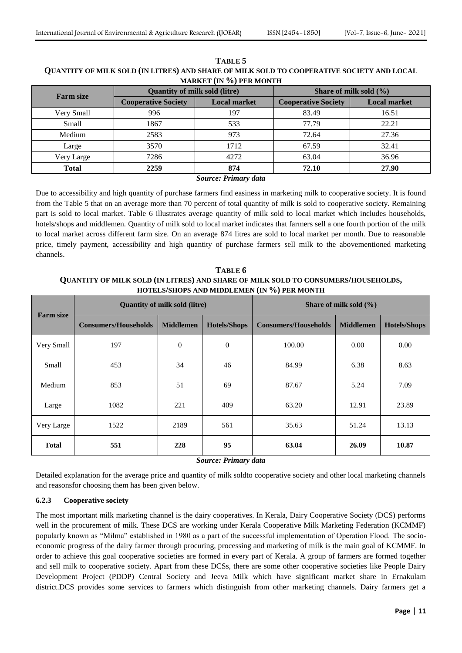| MARRET (IT /0) LERMONIII |                                      |                     |                            |                     |  |  |  |  |  |
|--------------------------|--------------------------------------|---------------------|----------------------------|---------------------|--|--|--|--|--|
| <b>Farm size</b>         | <b>Quantity of milk sold (litre)</b> |                     | Share of milk sold $(\% )$ |                     |  |  |  |  |  |
|                          | <b>Cooperative Society</b>           | <b>Local market</b> | <b>Cooperative Society</b> | <b>Local market</b> |  |  |  |  |  |
| Very Small               | 996                                  | 197                 | 83.49                      | 16.51               |  |  |  |  |  |
| Small                    | 1867                                 | 533                 | 77.79                      | 22.21               |  |  |  |  |  |
| Medium                   | 2583                                 | 973                 | 72.64                      | 27.36               |  |  |  |  |  |
| Large                    | 3570                                 | 1712                | 67.59                      | 32.41               |  |  |  |  |  |
| Very Large               | 7286                                 | 4272                | 63.04                      | 36.96               |  |  |  |  |  |
| <b>Total</b>             | 2259                                 | 874                 | 72.10                      | 27.90               |  |  |  |  |  |
| $\sim$<br>$ -$           |                                      |                     |                            |                     |  |  |  |  |  |

## **TABLE 5 QUANTITY OF MILK SOLD (IN LITRES) AND SHARE OF MILK SOLD TO COOPERATIVE SOCIETY AND LOCAL MARKET (IN %) PER MONTH**

#### *Source: Primary data*

Due to accessibility and high quantity of purchase farmers find easiness in marketing milk to cooperative society. It is found from the Table 5 that on an average more than 70 percent of total quantity of milk is sold to cooperative society. Remaining part is sold to local market. Table 6 illustrates average quantity of milk sold to local market which includes households, hotels/shops and middlemen. Quantity of milk sold to local market indicates that farmers sell a one fourth portion of the milk to local market across different farm size. On an average 874 litres are sold to local market per month. Due to reasonable price, timely payment, accessibility and high quantity of purchase farmers sell milk to the abovementioned marketing channels.

**TABLE 6 QUANTITY OF MILK SOLD (IN LITRES) AND SHARE OF MILK SOLD TO CONSUMERS/HOUSEHOLDS, HOTELS/SHOPS AND MIDDLEMEN (IN %) PER MONTH**

| <b>Farm size</b> |                             | <b>Quantity of milk sold (litre)</b> |                     | Share of milk sold $(\% )$  |                  |                     |  |
|------------------|-----------------------------|--------------------------------------|---------------------|-----------------------------|------------------|---------------------|--|
|                  | <b>Consumers/Households</b> | <b>Middlemen</b>                     | <b>Hotels/Shops</b> | <b>Consumers/Households</b> | <b>Middlemen</b> | <b>Hotels/Shops</b> |  |
| Very Small       | 197                         | $\overline{0}$                       | $\mathbf{0}$        | 100.00                      | 0.00             | 0.00                |  |
| Small            | 453                         | 34                                   | 46                  | 84.99                       | 6.38             | 8.63                |  |
| Medium           | 853                         | 51                                   | 69                  | 87.67                       | 5.24             | 7.09                |  |
| Large            | 1082                        | 221                                  | 409                 | 63.20                       | 12.91            | 23.89               |  |
| Very Large       | 1522                        | 2189                                 | 561                 | 35.63                       | 51.24            | 13.13               |  |
| <b>Total</b>     | 551                         | 228                                  | 95                  | 63.04                       | 26.09            | 10.87               |  |

*Source: Primary data*

Detailed explanation for the average price and quantity of milk soldto cooperative society and other local marketing channels and reasonsfor choosing them has been given below.

# **6.2.3 Cooperative society**

The most important milk marketing channel is the dairy cooperatives. In Kerala, Dairy Cooperative Society (DCS) performs well in the procurement of milk. These DCS are working under Kerala Cooperative Milk Marketing Federation (KCMMF) popularly known as "Milma" established in 1980 as a part of the successful implementation of Operation Flood. The socioeconomic progress of the dairy farmer through procuring, processing and marketing of milk is the main goal of KCMMF. In order to achieve this goal cooperative societies are formed in every part of Kerala. A group of farmers are formed together and sell milk to cooperative society. Apart from these DCSs, there are some other cooperative societies like People Dairy Development Project (PDDP) Central Society and Jeeva Milk which have significant market share in Ernakulam district.DCS provides some services to farmers which distinguish from other marketing channels. Dairy farmers get a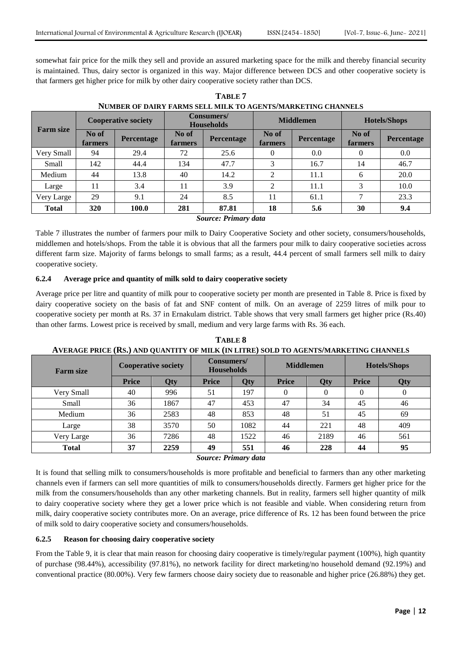somewhat fair price for the milk they sell and provide an assured marketing space for the milk and thereby financial security is maintained. Thus, dairy sector is organized in this way. Major difference between DCS and other cooperative society is that farmers get higher price for milk by other dairy cooperative society rather than DCS.

| <b>Farm size</b> | <b>Cooperative society</b> |                   | <b>Consumers/</b><br><b>Households</b> |                   | <b>Middlemen</b>        |                   | <b>Hotels/Shops</b> |                   |
|------------------|----------------------------|-------------------|----------------------------------------|-------------------|-------------------------|-------------------|---------------------|-------------------|
|                  | No of<br>farmers           | <b>Percentage</b> | No of<br>farmers                       | <b>Percentage</b> | No of<br><b>farmers</b> | <b>Percentage</b> | No of<br>farmers    | <b>Percentage</b> |
| Very Small       | 94                         | 29.4              | 72                                     | 25.6              | $\theta$                | 0.0               | 0                   | 0.0               |
| Small            | 142                        | 44.4              | 134                                    | 47.7              | 3                       | 16.7              | 14                  | 46.7              |
| Medium           | 44                         | 13.8              | 40                                     | 14.2              | ∍                       | 11.1              | 6                   | 20.0              |
| Large            | 11                         | 3.4               | 11                                     | 3.9               | ↑                       | 11.1              | 3                   | 10.0              |
| Very Large       | 29                         | 9.1               | 24                                     | 8.5               | 11                      | 61.1              |                     | 23.3              |
| <b>Total</b>     | 320                        | 100.0             | 281<br>$\sim$                          | 87.81<br>$ -$     | 18                      | 5.6               | 30                  | 9.4               |

**TABLE 7 NUMBER OF DAIRY FARMS SELL MILK TO AGENTS/MARKETING CHANNELS**

## *Source: Primary data*

Table 7 illustrates the number of farmers pour milk to Dairy Cooperative Society and other society, consumers/households, middlemen and hotels/shops. From the table it is obvious that all the farmers pour milk to dairy cooperative societies across different farm size. Majority of farms belongs to small farms; as a result, 44.4 percent of small farmers sell milk to dairy cooperative society.

# **6.2.4 Average price and quantity of milk sold to dairy cooperative society**

Average price per litre and quantity of milk pour to cooperative society per month are presented in Table 8. Price is fixed by dairy cooperative society on the basis of fat and SNF content of milk. On an average of 2259 litres of milk pour to cooperative society per month at Rs. 37 in Ernakulam district. Table shows that very small farmers get higher price (Rs.40) than other farms. Lowest price is received by small, medium and very large farms with Rs. 36 each.

| <b>Farm size</b> | <b>Cooperative society</b> |      | Consumers/<br><b>Households</b> |      | <b>Middlemen</b> |      | <b>Hotels/Shops</b> |                  |
|------------------|----------------------------|------|---------------------------------|------|------------------|------|---------------------|------------------|
|                  | Price                      | Qty  | <b>Price</b>                    | Qty  | <b>Price</b>     | Qty  | <b>Price</b>        | Qty              |
| Very Small       | 40                         | 996  | 51                              | 197  | 0                |      | $\theta$            | $\boldsymbol{0}$ |
| Small            | 36                         | 1867 | 47                              | 453  | 47               | 34   | 45                  | 46               |
| Medium           | 36                         | 2583 | 48                              | 853  | 48               | 51   | 45                  | 69               |
| Large            | 38                         | 3570 | 50                              | 1082 | 44               | 221  | 48                  | 409              |
| Very Large       | 36                         | 7286 | 48                              | 1522 | 46               | 2189 | 46                  | 561              |
| <b>Total</b>     | 37                         | 2259 | 49                              | 551  | 46               | 228  | 44                  | 95               |

**TABLE 8 AVERAGE PRICE (RS.) AND QUANTITY OF MILK (IN LITRE) SOLD TO AGENTS/MARKETING CHANNELS**

*Source: Primary data*

It is found that selling milk to consumers/households is more profitable and beneficial to farmers than any other marketing channels even if farmers can sell more quantities of milk to consumers/households directly. Farmers get higher price for the milk from the consumers/households than any other marketing channels. But in reality, farmers sell higher quantity of milk to dairy cooperative society where they get a lower price which is not feasible and viable. When considering return from milk, dairy cooperative society contributes more. On an average, price difference of Rs. 12 has been found between the price of milk sold to dairy cooperative society and consumers/households.

# **6.2.5 Reason for choosing dairy cooperative society**

From the Table 9, it is clear that main reason for choosing dairy cooperative is timely/regular payment (100%), high quantity of purchase (98.44%), accessibility (97.81%), no network facility for direct marketing/no household demand (92.19%) and conventional practice (80.00%). Very few farmers choose dairy society due to reasonable and higher price (26.88%) they get.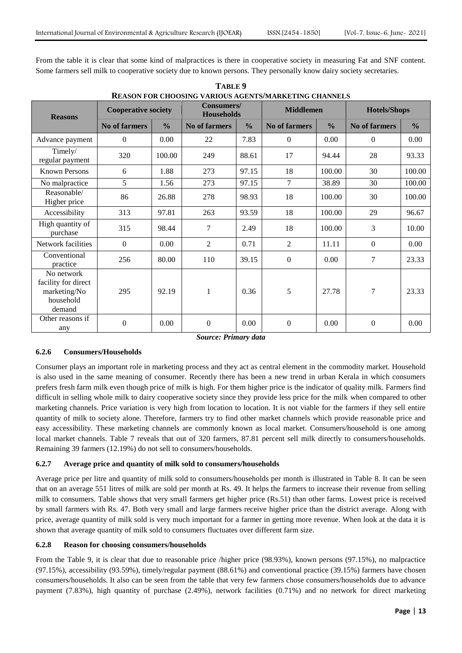From the table it is clear that some kind of malpractices is there in cooperative society in measuring Fat and SNF content. Some farmers sell milk to cooperative society due to known persons. They personally know dairy society secretaries.

| REASON FOR CHOOSING VARIOUS AGENTS/MARKETING CHANNELS                    |                            |               |                                 |               |                      |               |                     |               |  |  |  |
|--------------------------------------------------------------------------|----------------------------|---------------|---------------------------------|---------------|----------------------|---------------|---------------------|---------------|--|--|--|
| <b>Reasons</b>                                                           | <b>Cooperative society</b> |               | Consumers/<br><b>Households</b> |               | <b>Middlemen</b>     |               | <b>Hotels/Shops</b> |               |  |  |  |
|                                                                          | <b>No of farmers</b>       | $\frac{0}{0}$ | <b>No of farmers</b>            | $\frac{0}{0}$ | <b>No of farmers</b> | $\frac{0}{0}$ | No of farmers       | $\frac{0}{0}$ |  |  |  |
| Advance payment                                                          | $\theta$                   | 0.00          | 22                              | 7.83          | $\overline{0}$       | 0.00          | $\overline{0}$      | 0.00          |  |  |  |
| Timely/<br>regular payment                                               | 320                        | 100.00        | 249                             | 88.61         | 17                   | 94.44         | 28                  | 93.33         |  |  |  |
| <b>Known Persons</b>                                                     | 6                          | 1.88          | 273                             | 97.15         | 18                   | 100.00        | 30                  | 100.00        |  |  |  |
| No malpractice                                                           | 5                          | 1.56          | 273                             | 97.15         | 7                    | 38.89         | 30                  | 100.00        |  |  |  |
| Reasonable/<br>Higher price                                              | 86                         | 26.88         | 278                             | 98.93         | 18                   | 100.00        | 30                  | 100.00        |  |  |  |
| Accessibility                                                            | 313                        | 97.81         | 263                             | 93.59         | 18                   | 100.00        | 29                  | 96.67         |  |  |  |
| High quantity of<br>purchase                                             | 315                        | 98.44         | 7                               | 2.49          | 18                   | 100.00        | 3                   | 10.00         |  |  |  |
| Network facilities                                                       | $\mathbf{0}$               | 0.00          | $\overline{2}$                  | 0.71          | $\overline{2}$       | 11.11         | $\boldsymbol{0}$    | 0.00          |  |  |  |
| Conventional<br>practice                                                 | 256                        | 80.00         | 110                             | 39.15         | $\boldsymbol{0}$     | 0.00          | 7                   | 23.33         |  |  |  |
| No network<br>facility for direct<br>marketing/No<br>household<br>demand | 295                        | 92.19         | $\mathbf{1}$                    | 0.36          | 5                    | 27.78         | 7                   | 23.33         |  |  |  |
| Other reasons if<br>any                                                  | $\boldsymbol{0}$           | 0.00          | $\boldsymbol{0}$                | 0.00          | $\boldsymbol{0}$     | 0.00          | $\boldsymbol{0}$    | 0.00          |  |  |  |

**TABLE 9 REASON FOR CHOOSING VARIOUS AGENTS/MARKETING CHANNELS**

*Source: Primary data*

# **6.2.6 Consumers/Households**

Consumer plays an important role in marketing process and they act as central element in the commodity market. Household is also used in the same meaning of consumer. Recently there has been a new trend in urban Kerala in which consumers prefers fresh farm milk even though price of milk is high. For them higher price is the indicator of quality milk. Farmers find difficult in selling whole milk to dairy cooperative society since they provide less price for the milk when compared to other marketing channels. Price variation is very high from location to location. It is not viable for the farmers if they sell entire quantity of milk to society alone. Therefore, farmers try to find other market channels which provide reasonable price and easy accessibility. These marketing channels are commonly known as local market. Consumers/household is one among local market channels. Table 7 reveals that out of 320 farmers, 87.81 percent sell milk directly to consumers/households. Remaining 39 farmers (12.19%) do not sell to consumers/households.

# **6.2.7 Average price and quantity of milk sold to consumers/households**

Average price per litre and quantity of milk sold to consumers/households per month is illustrated in Table 8. It can be seen that on an average 551 litres of milk are sold per month at Rs. 49. It helps the farmers to increase their revenue from selling milk to consumers. Table shows that very small farmers get higher price (Rs.51) than other farms. Lowest price is received by small farmers with Rs. 47. Both very small and large farmers receive higher price than the district average. Along with price, average quantity of milk sold is very much important for a farmer in getting more revenue. When look at the data it is shown that average quantity of milk sold to consumers fluctuates over different farm size.

#### **6.2.8 Reason for choosing consumers/households**

From the Table 9, it is clear that due to reasonable price /higher price (98.93%), known persons (97.15%), no malpractice (97.15%), accessibility (93.59%), timely/regular payment (88.61%) and conventional practice (39.15%) farmers have chosen consumers/households. It also can be seen from the table that very few farmers chose consumers/households due to advance payment (7.83%), high quantity of purchase (2.49%), network facilities (0.71%) and no network for direct marketing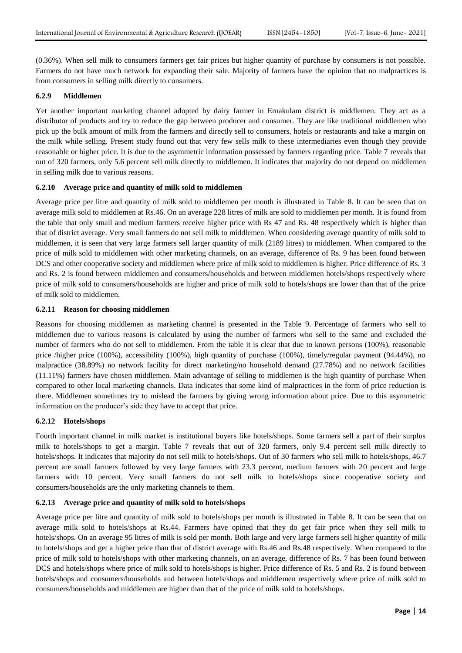(0.36%). When sell milk to consumers farmers get fair prices but higher quantity of purchase by consumers is not possible. Farmers do not have much network for expanding their sale. Majority of farmers have the opinion that no malpractices is from consumers in selling milk directly to consumers.

#### **6.2.9 Middlemen**

Yet another important marketing channel adopted by dairy farmer in Ernakulam district is middlemen. They act as a distributor of products and try to reduce the gap between producer and consumer. They are like traditional middlemen who pick up the bulk amount of milk from the farmers and directly sell to consumers, hotels or restaurants and take a margin on the milk while selling. Present study found out that very few sells milk to these intermediaries even though they provide reasonable or higher price. It is due to the asymmetric information possessed by farmers regarding price. Table 7 reveals that out of 320 farmers, only 5.6 percent sell milk directly to middlemen. It indicates that majority do not depend on middlemen in selling milk due to various reasons.

## **6.2.10 Average price and quantity of milk sold to middlemen**

Average price per litre and quantity of milk sold to middlemen per month is illustrated in Table 8. It can be seen that on average milk sold to middlemen at Rs.46. On an average 228 litres of milk are sold to middlemen per month. It is found from the table that only small and medium farmers receive higher price with Rs 47 and Rs. 48 respectively which is higher than that of district average. Very small farmers do not sell milk to middlemen. When considering average quantity of milk sold to middlemen, it is seen that very large farmers sell larger quantity of milk (2189 litres) to middlemen. When compared to the price of milk sold to middlemen with other marketing channels, on an average, difference of Rs. 9 has been found between DCS and other cooperative society and middlemen where price of milk sold to middlemen is higher. Price difference of Rs. 3 and Rs. 2 is found between middlemen and consumers/households and between middlemen hotels/shops respectively where price of milk sold to consumers/households are higher and price of milk sold to hotels/shops are lower than that of the price of milk sold to middlemen.

## **6.2.11 Reason for choosing middlemen**

Reasons for choosing middlemen as marketing channel is presented in the Table 9. Percentage of farmers who sell to middlemen due to various reasons is calculated by using the number of farmers who sell to the same and excluded the number of farmers who do not sell to middlemen. From the table it is clear that due to known persons (100%), reasonable price /higher price (100%), accessibility (100%), high quantity of purchase (100%), timely/regular payment (94.44%), no malpractice (38.89%) no network facility for direct marketing/no household demand (27.78%) and no network facilities (11.11%) farmers have chosen middlemen. Main advantage of selling to middlemen is the high quantity of purchase When compared to other local marketing channels. Data indicates that some kind of malpractices in the form of price reduction is there. Middlemen sometimes try to mislead the farmers by giving wrong information about price. Due to this asymmetric information on the producer's side they have to accept that price.

# **6.2.12 Hotels/shops**

Fourth important channel in milk market is institutional buyers like hotels/shops. Some farmers sell a part of their surplus milk to hotels/shops to get a margin. Table 7 reveals that out of 320 farmers, only 9.4 percent sell milk directly to hotels/shops. It indicates that majority do not sell milk to hotels/shops. Out of 30 farmers who sell milk to hotels/shops, 46.7 percent are small farmers followed by very large farmers with 23.3 percent, medium farmers with 20 percent and large farmers with 10 percent. Very small farmers do not sell milk to hotels/shops since cooperative society and consumers/households are the only marketing channels to them.

# **6.2.13 Average price and quantity of milk sold to hotels/shops**

Average price per litre and quantity of milk sold to hotels/shops per month is illustrated in Table 8. It can be seen that on average milk sold to hotels/shops at Rs.44. Farmers have opined that they do get fair price when they sell milk to hotels/shops. On an average 95 litres of milk is sold per month. Both large and very large farmers sell higher quantity of milk to hotels/shops and get a higher price than that of district average with Rs.46 and Rs.48 respectively. When compared to the price of milk sold to hotels/shops with other marketing channels, on an average, difference of Rs. 7 has been found between DCS and hotels/shops where price of milk sold to hotels/shops is higher. Price difference of Rs. 5 and Rs. 2 is found between hotels/shops and consumers/households and between hotels/shops and middlemen respectively where price of milk sold to consumers/households and middlemen are higher than that of the price of milk sold to hotels/shops.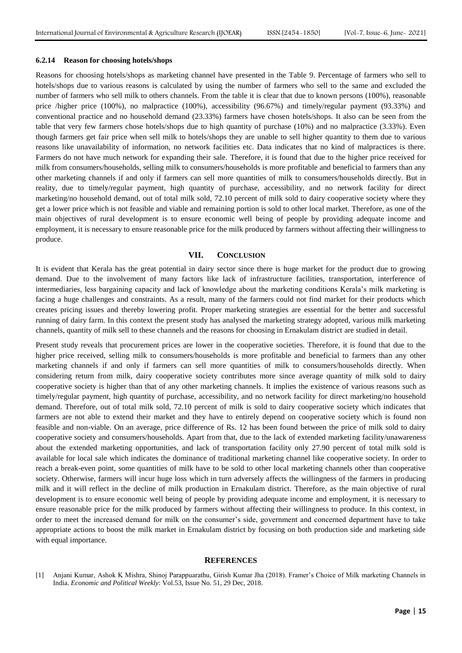#### **6.2.14 Reason for choosing hotels/shops**

Reasons for choosing hotels/shops as marketing channel have presented in the Table 9. Percentage of farmers who sell to hotels/shops due to various reasons is calculated by using the number of farmers who sell to the same and excluded the number of farmers who sell milk to others channels. From the table it is clear that due to known persons (100%), reasonable price /higher price (100%), no malpractice (100%), accessibility (96.67%) and timely/regular payment (93.33%) and conventional practice and no household demand (23.33%) farmers have chosen hotels/shops. It also can be seen from the table that very few farmers chose hotels/shops due to high quantity of purchase (10%) and no malpractice (3.33%). Even though farmers get fair price when sell milk to hotels/shops they are unable to sell higher quantity to them due to various reasons like unavailability of information, no network facilities etc. Data indicates that no kind of malpractices is there. Farmers do not have much network for expanding their sale. Therefore, it is found that due to the higher price received for milk from consumers/households, selling milk to consumers/households is more profitable and beneficial to farmers than any other marketing channels if and only if farmers can sell more quantities of milk to consumers/households directly. But in reality, due to timely/regular payment, high quantity of purchase, accessibility, and no network facility for direct marketing/no household demand, out of total milk sold, 72.10 percent of milk sold to dairy cooperative society where they get a lower price which is not feasible and viable and remaining portion is sold to other local market. Therefore, as one of the main objectives of rural development is to ensure economic well being of people by providing adequate income and employment, it is necessary to ensure reasonable price for the milk produced by farmers without affecting their willingness to produce.

## **VII. CONCLUSION**

It is evident that Kerala has the great potential in dairy sector since there is huge market for the product due to growing demand. Due to the involvement of many factors like lack of infrastructure facilities, transportation, interference of intermediaries, less bargaining capacity and lack of knowledge about the marketing conditions Kerala"s milk marketing is facing a huge challenges and constraints. As a result, many of the farmers could not find market for their products which creates pricing issues and thereby lowering profit. Proper marketing strategies are essential for the better and successful running of dairy farm. In this context the present study has analysed the marketing strategy adopted, various milk marketing channels, quantity of milk sell to these channels and the reasons for choosing in Ernakulam district are studied in detail.

Present study reveals that procurement prices are lower in the cooperative societies. Therefore, it is found that due to the higher price received, selling milk to consumers/households is more profitable and beneficial to farmers than any other marketing channels if and only if farmers can sell more quantities of milk to consumers/households directly. When considering return from milk, dairy cooperative society contributes more since average quantity of milk sold to dairy cooperative society is higher than that of any other marketing channels. It implies the existence of various reasons such as timely/regular payment, high quantity of purchase, accessibility, and no network facility for direct marketing/no household demand. Therefore, out of total milk sold, 72.10 percent of milk is sold to dairy cooperative society which indicates that farmers are not able to extend their market and they have to entirely depend on cooperative society which is found non feasible and non-viable. On an average, price difference of Rs. 12 has been found between the price of milk sold to dairy cooperative society and consumers/households. Apart from that, due to the lack of extended marketing facility/unawareness about the extended marketing opportunities, and lack of transportation facility only 27.90 percent of total milk sold is available for local sale which indicates the dominance of traditional marketing channel like cooperative society. In order to reach a break-even point, some quantities of milk have to be sold to other local marketing channels other than cooperative society. Otherwise, farmers will incur huge loss which in turn adversely affects the willingness of the farmers in producing milk and it will reflect in the decline of milk production in Ernakulam district. Therefore, as the main objective of rural development is to ensure economic well being of people by providing adequate income and employment, it is necessary to ensure reasonable price for the milk produced by farmers without affecting their willingness to produce. In this context, in order to meet the increased demand for milk on the consumer"s side, government and concerned department have to take appropriate actions to boost the milk market in Ernakulam district by focusing on both production side and marketing side with equal importance.

#### **REFERENCES**

[1] Anjani Kumar, Ashok K Mishra, Shinoj Parappuarathu, Girish Kumar Jha (2018). Framer"s Choice of Milk marketing Channels in India. *Economic and Political Weekly*: Vol.53, Issue No. 51, 29 Dec, 2018.